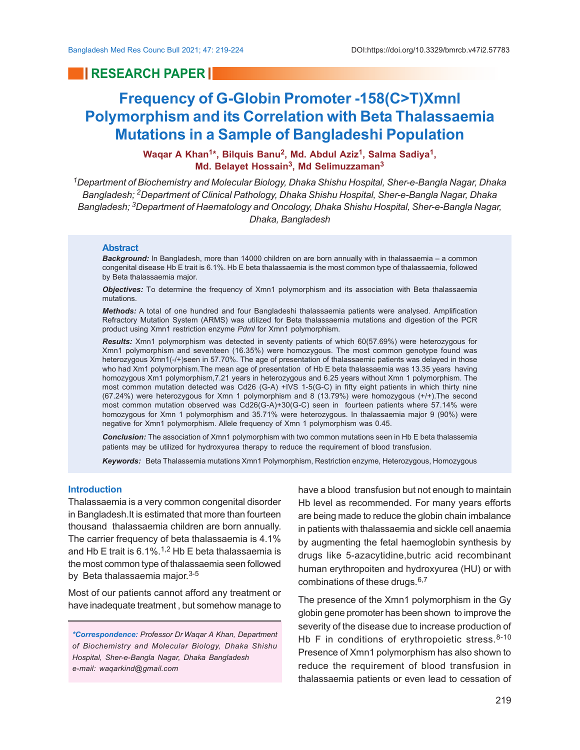## **RESEARCH PAPER**

# **Frequency of G-Globin Promoter -158(C>T)Xmnl Polymorphism and its Correlation with Beta Thalassaemia Mutations in a Sample of Bangladeshi Population**

**Waqar A Khan<sup>1</sup> \*, Bilquis Banu<sup>2</sup> , Md. Abdul Aziz<sup>1</sup> , Salma Sadiya<sup>1</sup> , Md. Belayet Hossain<sup>3</sup> , Md Selimuzzaman<sup>3</sup>**

*<sup>1</sup>Department of Biochemistry and Molecular Biology, Dhaka Shishu Hospital, Sher-e-Bangla Nagar, Dhaka Bangladesh; 2Department of Clinical Pathology, Dhaka Shishu Hospital, Sher-e-Bangla Nagar, Dhaka Bangladesh; 3Department of Haematology and Oncology, Dhaka Shishu Hospital, Sher-e-Bangla Nagar, Dhaka, Bangladesh*

#### **Abstract**

*Background:* In Bangladesh, more than 14000 children on are born annually with in thalassaemia – a common congenital disease Hb E trait is 6.1%. Hb E beta thalassaemia is the most common type of thalassaemia, followed by Beta thalassaemia major.

*Objectives:* To determine the frequency of Xmn1 polymorphism and its association with Beta thalassaemia mutations.

*Methods:* A total of one hundred and four Bangladeshi thalassaemia patients were analysed. Amplification Refractory Mutation System (ARMS) was utilized for Beta thalassaemia mutations and digestion of the PCR product using Xmn1 restriction enzyme *Pdml* for Xmn1 polymorphism.

*Results:* Xmn1 polymorphism was detected in seventy patients of which 60(57.69%) were heterozygous for Xmn1 polymorphism and seventeen (16.35%) were homozygous. The most common genotype found was heterozygous Xmn1(-/+)seen in 57.70%. The age of presentation of thalassaemic patients was delayed in those who had Xm1 polymorphism.The mean age of presentation of Hb E beta thalassaemia was 13.35 years having homozygous Xm1 polymorphism,7.21 years in heterozygous and 6.25 years without Xmn 1 polymorphism. The most common mutation detected was Cd26 (G-A) +IVS 1-5(G-C) in fifty eight patients in which thirty nine (67.24%) were heterozygous for Xmn 1 polymorphism and 8 (13.79%) were homozygous (+/+).The second most common mutation observed was Cd26(G-A)+30(G-C) seen in fourteen patients where 57.14% were homozygous for Xmn 1 polymorphism and 35.71% were heterozygous. In thalassaemia major 9 (90%) were negative for Xmn1 polymorphism. Allele frequency of Xmn 1 polymorphism was 0.45.

*Conclusion:* The association of Xmn1 polymorphism with two common mutations seen in Hb E beta thalassemia patients may be utilized for hydroxyurea therapy to reduce the requirement of blood transfusion.

*Keywords:* Beta Thalassemia mutations Xmn1 Polymorphism, Restriction enzyme, Heterozygous, Homozygous

#### **Introduction**

Thalassaemia is a very common congenital disorder in Bangladesh.It is estimated that more than fourteen thousand thalassaemia children are born annually. The carrier frequency of beta thalassaemia is 4.1% and Hb E trait is  $6.1\%$ .<sup>1,2</sup> Hb E beta thalassaemia is the most common type of thalassaemia seen followed by Beta thalassaemia major. 3-5

Most of our patients cannot afford any treatment or have inadequate treatment , but somehow manage to

*\*Correspondence: Professor Dr Waqar A Khan, Department of Biochemistry and Molecular Biology, Dhaka Shishu Hospital, Sher-e-Bangla Nagar, Dhaka Bangladesh e-mail: waqarkind@gmail.com*

have a blood transfusion but not enough to maintain Hb level as recommended. For many years efforts are being made to reduce the globin chain imbalance in patients with thalassaemia and sickle cell anaemia by augmenting the fetal haemoglobin synthesis by drugs like 5-azacytidine,butric acid recombinant human erythropoiten and hydroxyurea (HU) or with combinations of these drugs. $6,7$ 

The presence of the Xmn1 polymorphism in the Gy globin gene promoter has been shown to improve the severity of the disease due to increase production of Hb F in conditions of erythropoietic stress.  $8-10$ Presence of Xmn1 polymorphism has also shown to reduce the requirement of blood transfusion in thalassaemia patients or even lead to cessation of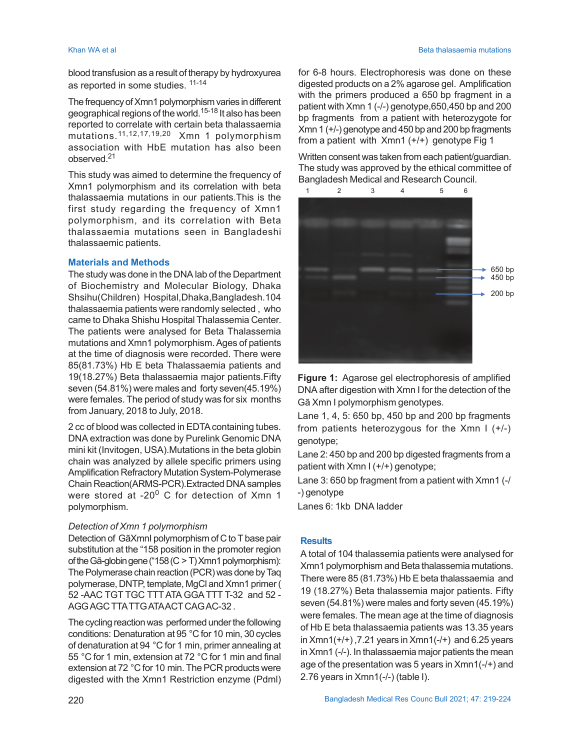blood transfusion as a result of therapy by hydroxyurea as reported in some studies. 11-14

The frequency of Xmn1 polymorphism varies in different geographical regions of the world.<sup>15-18</sup> It also has been reported to correlate with certain beta thalassaemia mutations.11,12,17,19,20 Xmn 1 polymorphism association with HbE mutation has also been observed<sup>21</sup>

This study was aimed to determine the frequency of Xmn1 polymorphism and its correlation with beta thalassaemia mutations in our patients.This is the first study regarding the frequency of Xmn1 polymorphism, and its correlation with Beta thalassaemia mutations seen in Bangladeshi thalassaemic patients.

#### **Materials and Methods**

The study was done in the DNA lab of the Department of Biochemistry and Molecular Biology, Dhaka Shsihu(Children) Hospital,Dhaka,Bangladesh.104 thalassaemia patients were randomly selected , who came to Dhaka Shishu Hospital Thalassemia Center. The patients were analysed for Beta Thalassemia mutations and Xmn1 polymorphism. Ages of patients at the time of diagnosis were recorded. There were 85(81.73%) Hb E beta Thalassaemia patients and 19(18.27%) Beta thalassaemia major patients.Fifty seven (54.81%) were males and forty seven(45.19%) were females. The period of study was for six months from January, 2018 to July, 2018.

2 cc of blood was collected in EDTA containing tubes. DNA extraction was done by Purelink Genomic DNA mini kit (Invitogen, USA).Mutations in the beta globin chain was analyzed by allele specific primers using Amplification Refractory Mutation System-Polymerase Chain Reaction(ARMS-PCR).Extracted DNA samples were stored at -20<sup>0</sup> C for detection of Xmn 1 polymorphism.

## *Detection of Xmn 1 polymorphism*

Detection of GãXmnI polymorphism of C to T base pair substitution at the "158 position in the promoter region of the Gã-globin gene ("158 (C > T) Xmn1 polymorphism): The Polymerase chain reaction (PCR) was done by Taq polymerase, DNTP, template, MgCl and Xmn1 primer ( 52 -AAC TGT TGC TTT ATA GGATTT T-32 and 52 - AGG AGC TTA TTG ATA ACT CAG AC-32 .

The cycling reaction was performed under the following conditions: Denaturation at 95 °C for 10 min, 30 cycles of denaturation at 94 °C for 1 min, primer annealing at 55 °C for 1 min, extension at 72 °C for 1 min and final extension at 72 °C for 10 min. The PCR products were digested with the Xmn1 Restriction enzyme (Pdml) for 6-8 hours. Electrophoresis was done on these digested products on a 2% agarose gel. Amplification with the primers produced a 650 bp fragment in a patient with Xmn 1 (-/-) genotype,650,450 bp and 200 bp fragments from a patient with heterozygote for Xmn 1 (+/-) genotype and 450 bp and 200 bp fragments from a patient with Xmn1 (+/+) genotype Fig 1

Written consent was taken from each patient/guardian. The study was approved by the ethical committee of Bangladesh Medical and Research Council.





Lane 1, 4, 5: 650 bp, 450 bp and 200 bp fragments from patients heterozygous for the Xmn I (+/-) genotype;

Lane 2: 450 bp and 200 bp digested fragments from a patient with Xmn I (+/+) genotype;

Lane 3: 650 bp fragment from a patient with Xmn1 (-/ -) genotype

Lanes 6: 1kb DNA ladder

## **Results**

A total of 104 thalassemia patients were analysed for Xmn1 polymorphism and Beta thalassemia mutations. There were 85 (81.73%) Hb E beta thalassaemia and 19 (18.27%) Beta thalassemia major patients. Fifty seven (54.81%) were males and forty seven (45.19%) were females. The mean age at the time of diagnosis of Hb E beta thalassaemia patients was 13.35 years in  $Xmn1(+/+)$ , 7.21 years in  $Xmn1(-/+)$  and 6.25 years in Xmn1 (-/-). In thalassaemia major patients the mean age of the presentation was 5 years in Xmn1(-/+) and 2.76 years in Xmn1(-/-) (table I).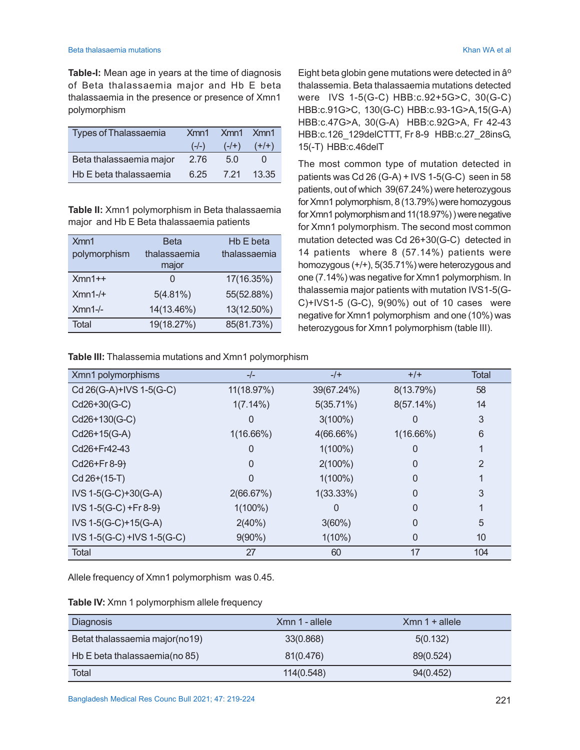**Table-I:** Mean age in years at the time of diagnosis of Beta thalassaemia major and Hb E beta thalassaemia in the presence or presence of Xmn1 polymorphism

| <b>Types of Thalassaemia</b> | Xmn1    | Xmn1 Xmn1 |         |
|------------------------------|---------|-----------|---------|
|                              | $(-/-)$ | $(-/+)$   | $(+/+)$ |
| Beta thalassaemia major      | 2.76    | 5.0       |         |
| Hb E beta thalassaemia       | ճ 25    | 7 21      | 13.35   |

**Table II:** Xmn1 polymorphism in Beta thalassaemia major and Hb E Beta thalassaemia patients

| Xmn1         | <b>Beta</b>   | Hb E beta    |
|--------------|---------------|--------------|
| polymorphism | thalassaemia  | thalassaemia |
|              | major         |              |
| $Xmn1++$     | $\mathcal{L}$ | 17(16.35%)   |
| $Xmn1-/+$    | 5(4.81%)      | 55(52.88%)   |
| $Xmn1-/-$    | 14(13.46%)    | 13(12.50%)   |
| Total        | 19(18.27%)    | 85(81.73%)   |

Eight beta globin gene mutations were detected in â<sup>o</sup> thalassemia. Beta thalassaemia mutations detected were IVS 1-5(G-C) HBB:c.92+5G>C, 30(G-C) HBB:c.91G>C, 130(G-C) HBB:c.93-1G>A,15(G-A) HBB:c.47G>A, 30(G-A) HBB:c.92G>A, Fr 42-43 HBB:c.126\_129delCTTT, Fr 8-9 HBB:c.27\_28insG, 15(-T) HBB:c.46delT

The most common type of mutation detected in patients was Cd 26 (G-A) + IVS 1-5(G-C) seen in 58 patients, out of which 39(67.24%) were heterozygous for Xmn1 polymorphism, 8 (13.79%) were homozygous for Xmn1 polymorphism and 11(18.97%) ) were negative for Xmn1 polymorphism. The second most common mutation detected was Cd 26+30(G-C) detected in 14 patients where 8 (57.14%) patients were homozygous (+/+), 5(35.71%) were heterozygous and one (7.14%) was negative for Xmn1 polymorphism. In thalassemia major patients with mutation IVS1-5(G-C)+IVS1-5 (G-C), 9(90%) out of 10 cases were negative for Xmn1 polymorphism and one (10%) was heterozygous for Xmn1 polymorphism (table III).

**Table III:** Thalassemia mutations and Xmn1 polymorphism

| Xmn1 polymorphisms         | $-/-$        | $-/+$      | $+/+$     | Total |
|----------------------------|--------------|------------|-----------|-------|
| Cd 26(G-A)+IVS 1-5(G-C)    | 11(18.97%)   | 39(67.24%) | 8(13.79%) | 58    |
| Cd26+30(G-C)               | 1(7.14%)     | 5(35.71%)  | 8(57.14%) | 14    |
| Cd26+130(G-C)              |              | $3(100\%)$ |           | 3     |
| Cd26+15(G-A)               | $1(16.66\%)$ | 4(66.66%)  | 1(16.66%) | 6     |
| Cd26+Fr42-43               |              | $1(100\%)$ |           |       |
| $Cd26 + Fr8-9$             |              | $2(100\%)$ | 0         | 2     |
| Cd 26+(15-T)               |              | $1(100\%)$ | 0         |       |
| IVS 1-5(G-C)+30(G-A)       | 2(66.67%)    | 1(33.33%)  | 0         | 3     |
| $IVS$ 1-5(G-C) +Fr 8-9)    | $1(100\%)$   |            | 0         |       |
| IVS 1-5(G-C)+15(G-A)       | 2(40%)       | 3(60%)     | 0         | 5     |
| IVS 1-5(G-C) +IVS 1-5(G-C) | $9(90\%)$    | $1(10\%)$  | 0         | 10    |
| <b>Total</b>               | 27           | 60         | 17        | 104   |

Allele frequency of Xmn1 polymorphism was 0.45.

| Table IV: Xmn 1 polymorphism allele frequency |  |  |  |  |  |
|-----------------------------------------------|--|--|--|--|--|
|-----------------------------------------------|--|--|--|--|--|

| <b>Diagnosis</b>               | Xmn 1 - allele | $Xmn 1 + allele$ |  |
|--------------------------------|----------------|------------------|--|
| Betat thalassaemia major(no19) | 33(0.868)      | 5(0.132)         |  |
| Hb E beta thalassaemia(no 85)  | 81(0.476)      | 89(0.524)        |  |
| Total                          | 114(0.548)     | 94(0.452)        |  |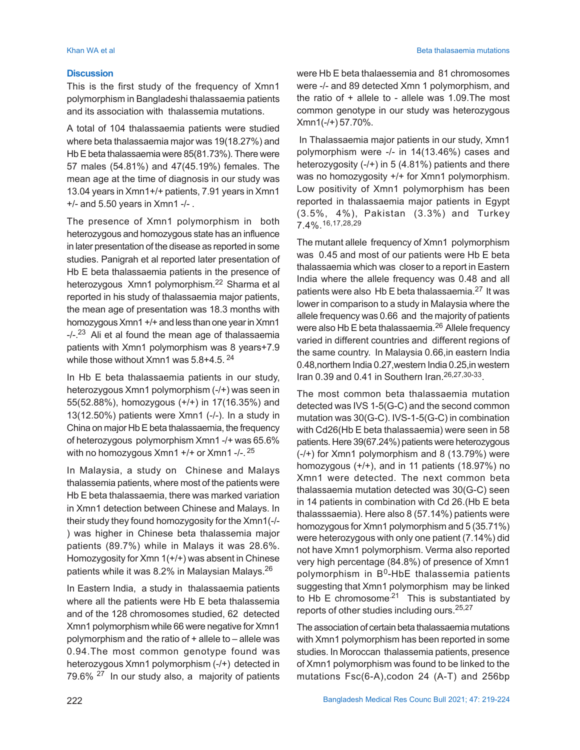#### **Discussion**

This is the first study of the frequency of Xmn1 polymorphism in Bangladeshi thalassaemia patients and its association with thalassemia mutations.

A total of 104 thalassaemia patients were studied where beta thalassaemia major was 19(18.27%) and Hb E beta thalassaemia were 85(81.73%). There were 57 males (54.81%) and 47(45.19%) females. The mean age at the time of diagnosis in our study was 13.04 years in Xmn1+/+ patients, 7.91 years in Xmn1 +/- and 5.50 years in Xmn1 -/- .

The presence of Xmn1 polymorphism in both heterozygous and homozygous state has an influence in later presentation of the disease as reported in some studies. Panigrah et al reported later presentation of Hb E beta thalassaemia patients in the presence of heterozygous Xmn1 polymorphism.<sup>22</sup> Sharma et al reported in his study of thalassaemia major patients, the mean age of presentation was 18.3 months with homozygous Xmn1 +/+ and less than one year in Xmn1  $-1$ -.<sup>23</sup> Ali et al found the mean age of thalassaemia patients with Xmn1 polymorphism was 8 years+7.9 while those without Xmn1 was 5.8+4.5.<sup>24</sup>

In Hb E beta thalassaemia patients in our study, heterozygous Xmn1 polymorphism (-/+) was seen in 55(52.88%), homozygous (+/+) in 17(16.35%) and 13(12.50%) patients were Xmn1 (-/-). In a study in China on major Hb E beta thalassaemia, the frequency of heterozygous polymorphism Xmn1 -/+ was 65.6% with no homozygous Xmn1 +/+ or Xmn1 -/-. <sup>25</sup>

In Malaysia, a study on Chinese and Malays thalassemia patients, where most of the patients were Hb E beta thalassaemia, there was marked variation in Xmn1 detection between Chinese and Malays. In their study they found homozygosity for the Xmn1(-/- ) was higher in Chinese beta thalassemia major patients (89.7%) while in Malays it was 28.6%. Homozygosity for Xmn 1(+/+) was absent in Chinese patients while it was 8.2% in Malaysian Malays.<sup>26</sup>

In Eastern India, a study in thalassaemia patients where all the patients were Hb E beta thalassemia and of the 128 chromosomes studied, 62 detected Xmn1 polymorphism while 66 were negative for Xmn1 polymorphism and the ratio of + allele to – allele was 0.94.The most common genotype found was heterozygous Xmn1 polymorphism (-/+) detected in 79.6% <sup>27</sup> In our study also, a majority of patients

were Hb E beta thalaessemia and 81 chromosomes were -/- and 89 detected Xmn 1 polymorphism, and the ratio of + allele to - allele was 1.09.The most common genotype in our study was heterozygous Xmn1(-/+) 57.70%.

 In Thalassaemia major patients in our study, Xmn1 polymorphism were -/- in 14(13.46%) cases and heterozygosity  $(-/+)$  in 5  $(4.81%)$  patients and there was no homozygosity +/+ for Xmn1 polymorphism. Low positivity of Xmn1 polymorphism has been reported in thalassaemia major patients in Egypt (3.5%, 4%), Pakistan (3.3%) and Turkey 7.4%.16,17,28,29

The mutant allele frequency of Xmn1 polymorphism was 0.45 and most of our patients were Hb E beta thalassaemia which was closer to a report in Eastern India where the allele frequency was 0.48 and all patients were also Hb E beta thalassaemia.<sup>27</sup> It was lower in comparison to a study in Malaysia where the allele frequency was 0.66 and the majority of patients were also Hb E beta thalassaemia.<sup>26</sup> Allele frequency varied in different countries and different regions of the same country. In Malaysia 0.66,in eastern India 0.48,northern India 0.27,western India 0.25,in western Iran 0.39 and 0.41 in Southern Iran.<sup>26,27,30-33</sup>.

The most common beta thalassaemia mutation detected was IVS 1-5(G-C) and the second common mutation was 30(G-C). IVS-1-5(G-C) in combination with Cd26(Hb E beta thalassaemia) were seen in 58 patients. Here 39(67.24%) patients were heterozygous (-/+) for Xmn1 polymorphism and 8 (13.79%) were homozygous (+/+), and in 11 patients (18.97%) no Xmn1 were detected. The next common beta thalassaemia mutation detected was 30(G-C) seen in 14 patients in combination with Cd 26.(Hb E beta thalasssaemia). Here also 8 (57.14%) patients were homozygous for Xmn1 polymorphism and 5 (35.71%) were heterozygous with only one patient (7.14%) did not have Xmn1 polymorphism. Verma also reported very high percentage (84.8%) of presence of Xmn1 polymorphism in B<sup>0</sup>-HbE thalassemia patients suggesting that Xmn1 polymorphism may be linked to Hb E chromosome<sup>21</sup> This is substantiated by reports of other studies including ours.25,27

The association of certain beta thalassaemia mutations with Xmn1 polymorphism has been reported in some studies. In Moroccan thalassemia patients, presence of Xmn1 polymorphism was found to be linked to the mutations Fsc(6-A),codon 24 (A-T) and 256bp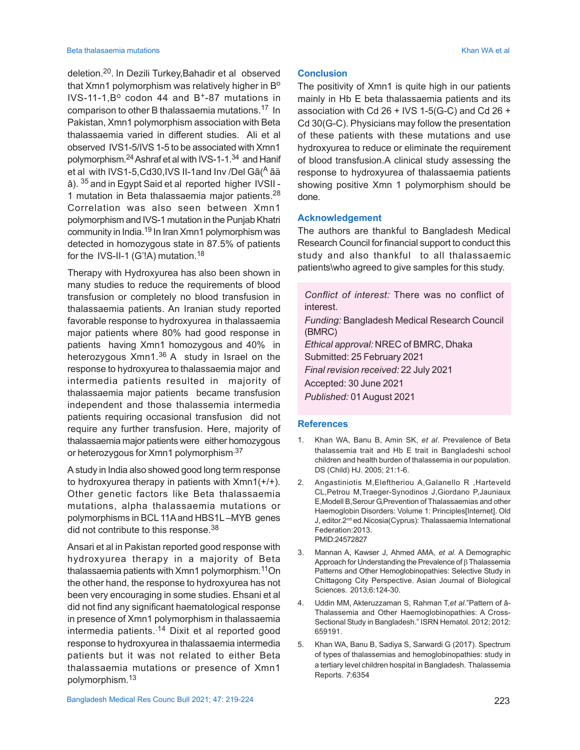#### Beta thalasaemia mutations Khan WA et al

deletion.<sup>20</sup> . In Dezili Turkey,Bahadir et al observed that  $X$ mn1 polymorphism was relatively higher in  $B<sup>o</sup>$ IVS-11-1,B<sup>o</sup> codon 44 and B<sup>+</sup>-87 mutations in comparison to other B thalassaemia mutations.<sup>17</sup> In Pakistan, Xmn1 polymorphism association with Beta thalassaemia varied in different studies. Ali et al observed IVS1-5/IVS 1-5 to be associated with Xmn1 polymorphism.<sup>24</sup> Ashraf et al with IVS-1-1.<sup>34</sup> and Hanif et al with IVS1-5, Cd30, IVS II-1 and Inv / Del Gã (<sup>A</sup> ã ä â). 35 and in Egypt Said et al reported higher IVSII - 1 mutation in Beta thalassaemia major patients.<sup>28</sup> Correlation was also seen between Xmn1 polymorphism and IVS-1 mutation in the Punjab Khatri community in India.<sup>19</sup> In Iran Xmn1 polymorphism was detected in homozygous state in 87.5% of patients for the IVS-II-1 (G'!A) mutation.<sup>18</sup>

Therapy with Hydroxyurea has also been shown in many studies to reduce the requirements of blood transfusion or completely no blood transfusion in thalassaemia patients. An Iranian study reported favorable response to hydroxyurea in thalassaemia major patients where 80% had good response in patients having Xmn1 homozygous and 40% in heterozygous  $Xmn1<sup>36</sup>$  A study in Israel on the response to hydroxyurea to thalassaemia major and intermedia patients resulted in majority of thalassaemia major patients became transfusion independent and those thalassemia intermedia patients requiring occasional transfusion did not require any further transfusion. Here, majority of thalassaemia major patients were either homozygous or heterozygous for Xmn1 polymorphism.<sup>37</sup>

A study in India also showed good long term response to hydroxyurea therapy in patients with  $Xmn1(+/+)$ . Other genetic factors like Beta thalassaemia mutations, alpha thalassaemia mutations or polymorphisms in BCL 11A and HBS1L –MYB genes did not contribute to this response.<sup>38</sup>

Ansari et al in Pakistan reported good response with hydroxyurea therapy in a majority of Beta thalassaemia patients with Xmn1 polymorphism.<sup>11</sup>On the other hand, the response to hydroxyurea has not been very encouraging in some studies. Ehsani et al did not find any significant haematological response in presence of Xmn1 polymorphism in thalassaemia intermedia patients.<sup>14</sup> Dixit et al reported good response to hydroxyurea in thalassaemia intermedia patients but it was not related to either Beta thalassaemia mutations or presence of Xmn1 polymorphism.<sup>13</sup>

#### **Conclusion**

The positivity of Xmn1 is quite high in our patients mainly in Hb E beta thalassaemia patients and its association with Cd  $26 +$  IVS 1-5(G-C) and Cd  $26 +$ Cd 30(G-C). Physicians may follow the presentation of these patients with these mutations and use hydroxyurea to reduce or eliminate the requirement of blood transfusion.A clinical study assessing the response to hydroxyurea of thalassaemia patients showing positive Xmn 1 polymorphism should be done.

#### **Acknowledgement**

The authors are thankful to Bangladesh Medical Research Council for financial support to conduct this study and also thankful to all thalassaemic patients\who agreed to give samples for this study.

*Conflict of interest:* There was no conflict of interest. *Funding:* Bangladesh Medical Research Council (BMRC) *Ethical approval:* NREC of BMRC, Dhaka Submitted: 25 February 2021 *Final revision received:* 22 July 2021 Accepted: 30 June 2021 *Published:* 01 August 2021

#### **References**

- 1. Khan WA, Banu B, Amin SK, *et al*. Prevalence of Beta thalassemia trait and Hb E trait in Bangladeshi school children and health burden of thalassemia in our population. DS (Child) HJ. 2005; 21:1-6.
- 2. Angastiniotis M,Eleftheriou A,Galanello R ,Harteveld CL,Petrou M,Traeger-Synodinos J,Giordano P,Jauniaux E,Modell B,Serour G,Prevention of Thalassaemias and other Haemoglobin Disorders: Volume 1: Principles[Internet]. Old J, editor.2<sup>nd</sup> ed.Nicosia(Cyprus): Thalassaemia International Federation:2013. PMID:24572827
- 3. Mannan A, Kawser J, Ahmed AMA, *et al*. A Demographic Approach for Understanding the Prevalence of  $\beta$  Thalassemia Patterns and Other Hemoglobinopathies: Selective Study in Chittagong City Perspective. Asian Journal of Biological Sciences. 2013;6:124-30.
- 4. Uddin MM, Akteruzzaman S, Rahman T,*et al*."Pattern of â-Thalassemia and Other Haemoglobinopathies: A Cross-Sectional Study in Bangladesh." ISRN Hematol. 2012; 2012: 659191.
- 5. Khan WA, Banu B, Sadiya S, Sarwardi G (2017). Spectrum of types of thalassemias and hemoglobinopathies: study in a tertiary level children hospital in Bangladesh. Thalassemia Reports. *7*:6354